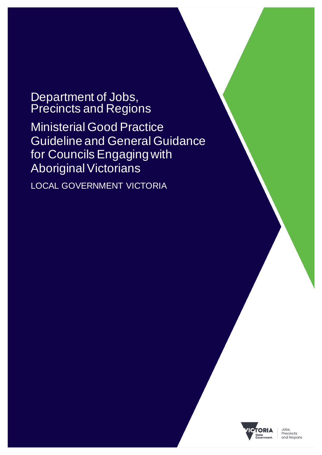# Department of Jobs, Precincts and Regions

Ministerial Good Practice Guideline and General Guidance for Councils Engaging with Aboriginal Victorians

LOCAL GOVERNMENT VICTORIA

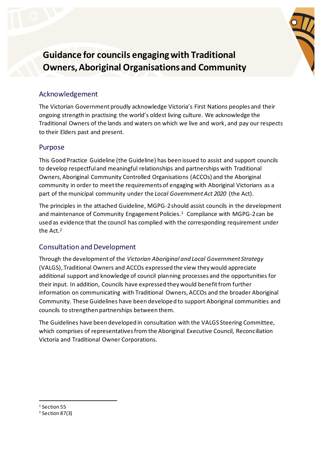

**Guidance for councils engaging with Traditional Owners, Aboriginal Organisations and Community**

## Acknowledgement

The Victorian Government proudly acknowledge Victoria's First Nations peoples and their ongoing strength in practising the world's oldest living culture. We acknowledge the Traditional Owners of the lands and waters on which we live and work, and pay our respects to their Elders past and present.

## Purpose

This Good Practice Guideline (the Guideline) has been issued to assist and support councils to develop respectful and meaningful relationships and partnerships with Traditional Owners, Aboriginal Community Controlled Organisations (ACCOs) and the Aboriginal community in order to meet the requirements of engaging with Aboriginal Victorians as a part of the municipal community under the *Local Government Act 2020* (the Act).

The principles in the attached Guideline, MGPG-2should assist councils in the development and maintenance of Community Engagement Policies.<sup>1</sup> Compliance with MGPG-2 can be used as evidence that the council has complied with the corresponding requirement under the Act.<sup>2</sup>

## Consultation and Development

Through the development of the *Victorian Aboriginal and Local Government Strategy* (VALGS), Traditional Owners and ACCOs expressed the view they would appreciate additional support and knowledge of council planning processes and the opportunities for their input. In addition, Councils have expressed they would benefit from further information on communicating with Traditional Owners, ACCOs and the broader Aboriginal Community. These Guidelines have been developed to support Aboriginal communities and councils to strengthen partnerships between them.

The Guidelines have been developed in consultation with the VALGS Steering Committee, which comprises of representatives from the Aboriginal Executive Council, Reconciliation Victoria and Traditional Owner Corporations.

<sup>&</sup>lt;sup>1</sup> Section 55

<sup>2</sup> Section 87(3)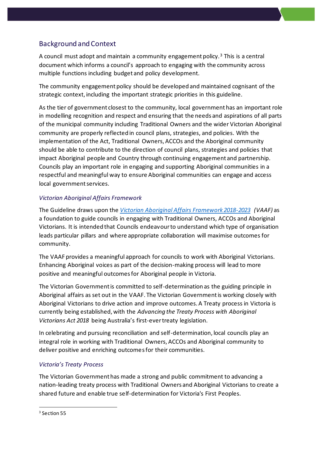## Background and Context

A council must adopt and maintain a community engagement policy.<sup>3</sup> This is a central document which informs a council's approach to engaging with the community across multiple functions including budget and policy development.

The community engagement policy should be developed and maintained cognisant of the strategic context, including the important strategic priorities in this guideline.

As the tier of government closest to the community, local government has an important role in modelling recognition and respect and ensuring that the needs and aspirations of all parts of the municipal community including Traditional Owners and the wider Victorian Aboriginal community are properly reflected in council plans, strategies, and policies. With the implementation of the Act, Traditional Owners, ACCOs and the Aboriginal community should be able to contribute to the direction of council plans, strategies and policies that impact Aboriginal people and Country through continuing engagement and partnership. Councils play an important role in engaging and supporting Aboriginal communities in a respectful and meaningful way to ensure Aboriginal communities can engage and access local government services.

#### *Victorian Aboriginal Affairs Framework*

The Guideline draws upon the *[Victorian Aboriginal Affairs Framework 2018-2023](https://www.aboriginalvictoria.vic.gov.au/victorian-aboriginal-affairs-framework-2018-2023) (VAAF)* as a foundation to guide councils in engaging with Traditional Owners, ACCOs and Aboriginal Victorians. It is intended that Councils endeavour to understand which type of organisation leads particular pillars and where appropriate collaboration will maximise outcomes for community.

The VAAF provides a meaningful approach for councils to work with Aboriginal Victorians. Enhancing Aboriginal voices as part of the decision-making process will lead to more positive and meaningful outcomes for Aboriginal people in Victoria.

The Victorian Government is committed to self-determination as the guiding principle in Aboriginal affairs as set out in the VAAF. The Victorian Government is working closely with Aboriginal Victorians to drive action and improve outcomes. A Treaty process in Victoria is currently being established, with the *Advancing the Treaty Process with Aboriginal Victorians Act 2018* being Australia's first-ever treaty legislation.

In celebrating and pursuing reconciliation and self-determination, local councils play an integral role in working with Traditional Owners, ACCOs and Aboriginal community to deliver positive and enriching outcomes for their communities.

#### *Victoria's Treaty Process*

The Victorian Government has made a strong and public commitment to advancing a nation-leading treaty process with Traditional Owners and Aboriginal Victorians to create a shared future and enable true self-determination for Victoria's First Peoples.

<sup>&</sup>lt;sup>3</sup> Section 55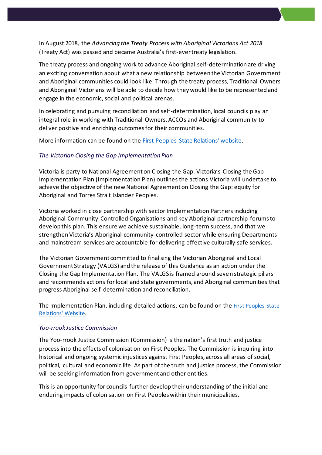In August 2018, the *Advancing the Treaty Process with Aboriginal Victorians Act 2018* (Treaty Act) was passed and became Australia's first-ever treaty legislation.

The treaty process and ongoing work to advance Aboriginal self-determination are driving an exciting conversation about what a new relationship between the Victorian Government and Aboriginal communities could look like. Through the treaty process, Traditional Owners and Aboriginal Victorians will be able to decide how they would like to be represented and engage in the economic, social and political arenas.

In celebrating and pursuing reconciliation and self-determination, local councils play an integral role in working with Traditional Owners, ACCOs and Aboriginal community to deliver positive and enriching outcomes for their communities.

More information can be found on the [First Peoples-State Relations](https://www.firstpeoplesrelations.vic.gov.au/treaty)' website.

#### *The Victorian Closing the Gap Implementation Plan*

Victoria is party to National Agreement on Closing the Gap. Victoria's Closing the Gap Implementation Plan (Implementation Plan) outlines the actions Victoria will undertake to achieve the objective of the new National Agreement on Closing the Gap: equity for Aboriginal and Torres Strait Islander Peoples.

Victoria worked in close partnership with sector Implementation Partners including Aboriginal Community-Controlled Organisations and key Aboriginal partnership forums to develop this plan. This ensure we achieve sustainable, long-term success, and that we strengthen Victoria's Aboriginal community-controlled sector while ensuring Departments and mainstream services are accountable for delivering effective culturally safe services.

The Victorian Government committed to finalising the Victorian Aboriginal and Local Government Strategy (VALGS) and the release of this Guidance as an action under the Closing the Gap Implementation Plan. The VALGS is framed around seven strategic pillars and recommends actions for local and state governments, and Aboriginal communities that progress Aboriginal self-determination and reconciliation.

The Implementation Plan, including detailed actions, can be found on the [First Peoples-State](https://www.firstpeoplesrelations.vic.gov.au/victorian-closing-gap-implementation-plan)  [Relations](https://www.firstpeoplesrelations.vic.gov.au/victorian-closing-gap-implementation-plan)' Website.

#### *Yoo-rrook Justice Commission*

The Yoo-rrook Justice Commission (Commission) is the nation's first truth and justice process into the effects of colonisation on First Peoples. The Commission is inquiring into historical and ongoing systemic injustices against First Peoples, across all areas of social, political, cultural and economic life. As part of the truth and justice process, the Commission will be seeking information from government and other entities.

This is an opportunity for councils further develop their understanding of the initial and enduring impacts of colonisation on First Peoples within their municipalities.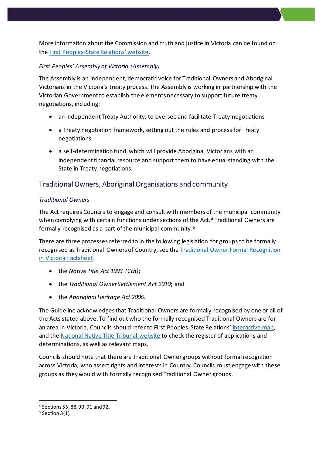More information about the Commission and truth and justice in Victoria can be found on the [First Peoples-State Relations](https://www.firstpeoplesrelations.vic.gov.au/truth-and-justice)' website.

#### *First Peoples' Assembly of Victoria (Assembly)*

The Assembly is an independent, democratic voice for Traditional Owners and Aboriginal Victorians in the Victoria's treaty process. The Assembly is working in partnership with the Victorian Government to establish the elements necessary to support future treaty negotiations, including:

- an independent Treaty Authority, to oversee and facilitate Treaty negotiations
- a Treaty negotiation framework, setting out the rules and process for Treaty negotiations
- a self-determination fund, which will provide Aboriginal Victorians with an independent financial resource and support them to have equal standing with the State in Treaty negotiations.

## Traditional Owners, Aboriginal Organisations and community

#### *Traditional Owners*

The Act requires Councils to engage and consult with members of the municipal community when complying with certain functions under sections of the Act.<sup>4</sup> Traditional Owners are formally recognised as a part of the municipal community. 5

There are three processes referred to in the following legislation for groups to be formally recognised as Traditional Owners of Country, see th[e Traditional Owner Formal Recognition](https://content.vic.gov.au/sites/default/files/2019-10/Traditional-Owner-Formal-Recognition-in-Victoria.pdf)  [in Victoria Factsheet.](https://content.vic.gov.au/sites/default/files/2019-10/Traditional-Owner-Formal-Recognition-in-Victoria.pdf)

- the *Native Title Act 1993 (Cth)*;
- the *Traditional Owner Settlement Act 2010*; and
- the *Aboriginal Heritage Act 2006*.

The Guideline acknowledges that Traditional Owners are formally recognised by one or all of the Acts stated above. To find out who the formally recognised Traditional Owners are for an area in Victoria, Councils should refer to First Peoples-State Relations' [interactive map,](https://achris.vic.gov.au/weave/wca.html) and the [National Native Title Tribunal website](http://www.nntt.gov.au/Pages/Home-Page.aspx) to check the register of applications and determinations, as well as relevant maps.

Councils should note that there are Traditional Owner groups without formal recognition across Victoria, who assert rights and interests in Country. Councils must engage with these groups as they would with formally recognised Traditional Owner groups.

<sup>4</sup> Sections 55, 88, 90, 91 and 92.

 $5$  Section 3(1).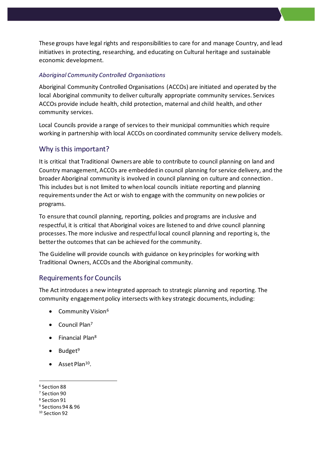These groups have legal rights and responsibilities to care for and manage Country, and lead initiatives in protecting, researching, and educating on Cultural heritage and sustainable economic development.

#### *Aboriginal Community Controlled Organisations*

Aboriginal Community Controlled Organisations (ACCOs) are initiated and operated by the local Aboriginal community to deliver culturally appropriate community services. Services ACCOs provide include health, child protection, maternal and child health, and other community services.

Local Councils provide a range of services to their municipal communities which require working in partnership with local ACCOs on coordinated community service delivery models.

#### Why is this important?

It is critical that Traditional Owners are able to contribute to council planning on land and Country management, ACCOs are embedded in council planning for service delivery, and the broader Aboriginal community is involved in council planning on culture and connection. This includes but is not limited to when local councils initiate reporting and planning requirements under the Act or wish to engage with the community on new policies or programs.

To ensure that council planning, reporting, policies and programs are inclusive and respectful, it is critical that Aboriginal voices are listened to and drive council planning processes. The more inclusive and respectful local council planning and reporting is, the better the outcomes that can be achieved for the community.

The Guideline will provide councils with guidance on key principles for working with Traditional Owners, ACCOs and the Aboriginal community.

#### Requirements for Councils

The Act introduces a new integrated approach to strategic planning and reporting. The community engagement policy intersects with key strategic documents, including:

- Community Vision<sup>6</sup>
- Council Plan<sup>7</sup>
- Financial Plan<sup>8</sup>
- $\bullet$  Budget<sup>9</sup>
- Asset Plan<sup>10</sup>.

<sup>8</sup> Section 91

<sup>6</sup> Section 88

<sup>7</sup> Section 90

<sup>9</sup> Sections 94 & 96

<sup>&</sup>lt;sup>10</sup> Section 92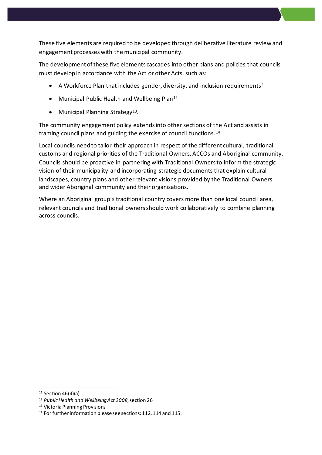These five elements are required to be developed through deliberative literature review and engagement processes with the municipal community.

The development of these five elements cascades into other plans and policies that councils must develop in accordance with the Act or other Acts, such as:

- A Workforce Plan that includes gender, diversity, and inclusion requirements<sup>11</sup>
- Municipal Public Health and Wellbeing Plan<sup>12</sup>
- Municipal Planning Strategy<sup>13</sup>.

The community engagement policy extends into other sections of the Act and assists in framing council plans and guiding the exercise of council functions. <sup>14</sup>

Local councils need to tailor their approach in respect of the different cultural, traditional customs and regional priorities of the Traditional Owners, ACCOs and Aboriginal community. Councils should be proactive in partnering with Traditional Owners to inform the strategic vision of their municipality and incorporating strategic documents that explain cultural landscapes, country plans and other relevant visions provided by the Traditional Owners and wider Aboriginal community and their organisations.

Where an Aboriginal group's traditional country covers more than one local council area, relevant councils and traditional owners should work collaboratively to combine planning across councils.

 $11$  Section 46(4)(a)

<sup>12</sup> *Public Health and Wellbeing Act 2008*, section 26

<sup>13</sup> Victoria Planning Provisions

<sup>&</sup>lt;sup>14</sup> For further information please see sections: 112, 114 and 115.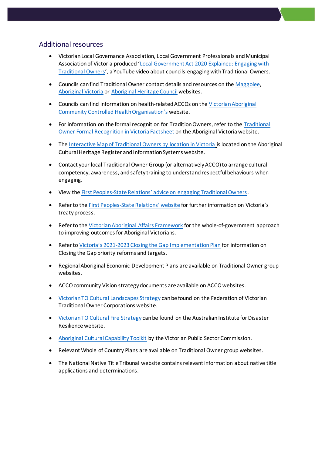#### Additional resources

- Victorian Local Governance Association, Local Government Professionals and Municipal Association of Victoria produced '[Local Government Act 2020 Explained: Engaging with](https://www.youtube.com/watch?v=HLIVfSfnOB0)  [Traditional Owners](https://www.youtube.com/watch?v=HLIVfSfnOB0)', a YouTube video about councils engaging with Traditional Owners.
- Councils can find Traditional Owner contact details and resources on th[e Maggolee,](http://www.maggolee.org.au/local-government-areas-view-by-list/) [Aboriginal Victoria](https://www.aboriginalvictoria.vic.gov.au/acknowledgement-traditional-owners) or [Aboriginal Heritage Council](https://www.aboriginalheritagecouncil.vic.gov.au/victorias-current-registered-aboriginal-parties) websites.
- Councils can find information on health-related ACCOs on th[e Victorian Aboriginal](https://www.vaccho.org.au/om/)  Community Cont[rolled Health Organisation's](https://www.vaccho.org.au/om/) website.
- For information on the formal recognition for Tradition Owners, refer to the [Traditional](https://content.vic.gov.au/sites/default/files/2019-10/Traditional-Owner-Formal-Recognition-in-Victoria.pdf)  Owner [Formal Recognition in Victoria Factsheet](https://content.vic.gov.au/sites/default/files/2019-10/Traditional-Owner-Formal-Recognition-in-Victoria.pdf) on the Aboriginal Victoria website.
- The [Interactive Map of Traditional Owners by location in Victoria](https://achris.vic.gov.au/weave/wca.html) is located on the Aboriginal Cultural Heritage Register and Information Systems website.
- Contact your local Traditional Owner Group (or alternatively ACCO) to arrange cultural competency, awareness, and safety training to understand respectful behaviours when engaging.
- View the First Peoples-[State Relations' advice on engaging Traditional Owners](https://www.firstpeoplesrelations.vic.gov.au/engaging-traditional-owners).
- Refer to the First Peoples-[State Relations' website](https://www.firstpeoplesrelations.vic.gov.au/treaty) for further information on Victoria's treaty process.
- Refer to the [Victorian Aboriginal Affairs Framework](https://www.aboriginalvictoria.vic.gov.au/victorian-aboriginal-affairs-framework-2018-2023) for the whole-of-government approach to improving outcomes for Aboriginal Victorians.
- Refer to Victoria's 2021[-2023 Closing the Gap Implementation Plan](https://content.vic.gov.au/sites/default/files/2021-08/The%20Victorian%20Closing%20the%20Gap%20Implementation%20Plan%202021-2023_0.pdf) for information on Closing the Gap priority reforms and targets.
- Regional Aboriginal Economic Development Plans are available on Traditional Owner group websites.
- ACCO community Vision strategy documents are available on ACCO websites.
- [Victorian TO Cultural Landscapes Strategy](http://www.fvtoc.com.au/cultural-landscapes) can be found on the Federation of Victorian Traditional Owner Corporations website.
- [Victorian TO Cultural Fire Strategy](https://knowledge.aidr.org.au/media/6817/fireplusstrategyplusfinal.pdf) can be found on the Australian Institute for Disaster Resilience website.
- [Aboriginal Cultural Capability Toolkit](https://vpsc.vic.gov.au/html-resources/aboriginal-cultural-capability-toolkit/) by the Victorian Public Sector Commission.
- Relevant Whole of Country Plans are available on Traditional Owner group websites.
- The National Native Title Tribunal website contains relevant information about native title applications and determinations.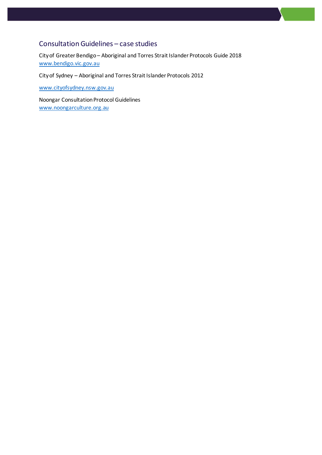## Consultation Guidelines – case studies

City of Greater Bendigo – Aboriginal and Torres Strait Islander Protocols Guide 2018 [www.bendigo.vic.gov.au](https://www.bendigo.vic.gov.au/sites/default/files/2018-09/Aboriginal%20and%20Torres%20Strait%20Islander%20Protocols%20Guide%202018.pdf)

City of Sydney – Aboriginal and Torres Strait Islander Protocols 2012

[www.cityofsydney.nsw.gov.au](http://www.cityofsydney.nsw.gov.au/)

Noongar Consultation Protocol Guidelines [www.noongarculture.org.au](http://www.noongarculture.org.au/)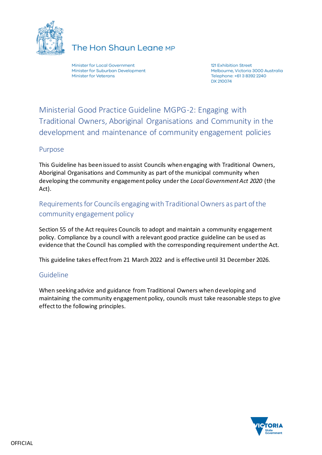

## The Hon Shaun Leane MP

Minister for Local Government Minister for Suburban Development **Minister for Veterans** 

121 Exhibition Street Melbourne, Victoria 3000 Australia Telephone: +61 3 8392 2240 DX 210074

Ministerial Good Practice Guideline MGPG-2: Engaging with Traditional Owners, Aboriginal Organisations and Community in the development and maintenance of community engagement policies

#### Purpose

This Guideline has been issued to assist Councils when engaging with Traditional Owners, Aboriginal Organisations and Community as part of the municipal community when developing the community engagement policy under the *Local Government Act 2020* (the Act).

## Requirementsfor Councils engaging with Traditional Owners as part of the community engagement policy

Section 55 of the Act requires Councils to adopt and maintain a community engagement policy. Compliance by a council with a relevant good practice guideline can be used as evidence that the Council has complied with the corresponding requirement under the Act.

This guideline takes effect from 21 March 2022 and is effective until 31 December 2026.

## Guideline

When seeking advice and guidance from Traditional Owners when developing and maintaining the community engagement policy, councils must take reasonable steps to give effect to the following principles.

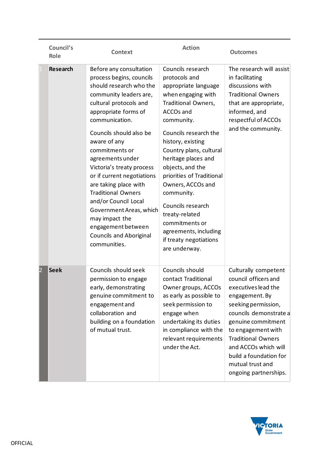|                | Council's<br>Role | <b>Context</b>                                                                                                                                                                                                                                                                                                                                                                                                                                                                                                              | <b>Action</b>                                                                                                                                                                                                                                                                                                                                                                                                                                       | <b>Outcomes</b>                                                                                                                                                                                                                                                                                                |
|----------------|-------------------|-----------------------------------------------------------------------------------------------------------------------------------------------------------------------------------------------------------------------------------------------------------------------------------------------------------------------------------------------------------------------------------------------------------------------------------------------------------------------------------------------------------------------------|-----------------------------------------------------------------------------------------------------------------------------------------------------------------------------------------------------------------------------------------------------------------------------------------------------------------------------------------------------------------------------------------------------------------------------------------------------|----------------------------------------------------------------------------------------------------------------------------------------------------------------------------------------------------------------------------------------------------------------------------------------------------------------|
|                | <b>Research</b>   | Before any consultation<br>process begins, councils<br>should research who the<br>community leaders are,<br>cultural protocols and<br>appropriate forms of<br>communication.<br>Councils should also be<br>aware of any<br>commitments or<br>agreements under<br>Victoria's treaty process<br>or if current negotiations<br>are taking place with<br><b>Traditional Owners</b><br>and/or Council Local<br>Government Areas, which<br>may impact the<br>engagement between<br><b>Councils and Aboriginal</b><br>communities. | Councils research<br>protocols and<br>appropriate language<br>when engaging with<br>Traditional Owners,<br>ACCOs and<br>community.<br>Councils research the<br>history, existing<br>Country plans, cultural<br>heritage places and<br>objects, and the<br>priorities of Traditional<br>Owners, ACCOs and<br>community.<br>Councils research<br>treaty-related<br>commitments or<br>agreements, including<br>if treaty negotiations<br>are underway. | The research will assist<br>in facilitating<br>discussions with<br><b>Traditional Owners</b><br>that are appropriate,<br>informed, and<br>respectful of ACCOs<br>and the community.                                                                                                                            |
| $\overline{2}$ | <b>Seek</b>       | Councils should seek<br>permission to engage<br>early, demonstrating<br>genuine commitment to<br>engagement and<br>collaboration and<br>building on a foundation<br>of mutual trust.                                                                                                                                                                                                                                                                                                                                        | Councils should<br>contact Traditional<br>Owner groups, ACCOs<br>as early as possible to<br>seek permission to<br>engage when<br>undertaking its duties<br>in compliance with the<br>relevant requirements<br>under the Act.                                                                                                                                                                                                                        | Culturally competent<br>council officers and<br>executives lead the<br>engagement. By<br>seeking permission,<br>councils demonstrate a<br>genuine commitment<br>to engagement with<br><b>Traditional Owners</b><br>and ACCOs which will<br>build a foundation for<br>mutual trust and<br>ongoing partnerships. |

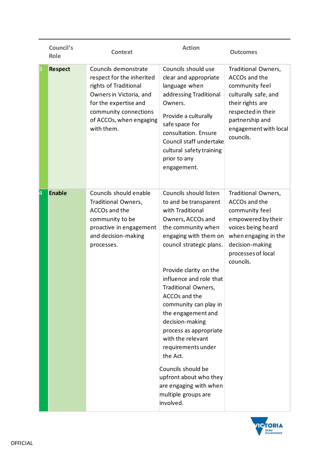|    | Council's<br>Role | <b>Context</b>                                                                                                                                                                                   | <b>Action</b>                                                                                                                                                                                                                                                                                                                                                                                                                                                                                                                     | <b>Outcomes</b>                                                                                                                                                                   |
|----|-------------------|--------------------------------------------------------------------------------------------------------------------------------------------------------------------------------------------------|-----------------------------------------------------------------------------------------------------------------------------------------------------------------------------------------------------------------------------------------------------------------------------------------------------------------------------------------------------------------------------------------------------------------------------------------------------------------------------------------------------------------------------------|-----------------------------------------------------------------------------------------------------------------------------------------------------------------------------------|
| 3  | <b>Respect</b>    | Councils demonstrate<br>respect for the inherited<br>rights of Traditional<br>Owners in Victoria, and<br>for the expertise and<br>community connections<br>of ACCOs, when engaging<br>with them. | Councils should use<br>clear and appropriate<br>language when<br>addressing Traditional<br>Owners.<br>Provide a culturally<br>safe space for<br>consultation. Ensure<br>Council staff undertake<br>cultural safety training<br>prior to any<br>engagement.                                                                                                                                                                                                                                                                        | Traditional Owners,<br>ACCOs and the<br>community feel<br>culturally safe, and<br>their rights are<br>respected in their<br>partnership and<br>engagement with local<br>councils. |
| 14 | <b>Enable</b>     | Councils should enable<br>Traditional Owners,<br>ACCOs and the<br>community to be<br>proactive in engagement<br>and decision-making<br>processes.                                                | Councils should listen<br>to and be transparent<br>with Traditional<br>Owners, ACCOs and<br>the community when<br>engaging with them on<br>council strategic plans.<br>Provide clarity on the<br>influence and role that<br>Traditional Owners,<br>ACCOs and the<br>community can play in<br>the engagement and<br>decision-making<br>process as appropriate<br>with the relevant<br>requirements under<br>the Act.<br>Councils should be<br>upfront about who they<br>are engaging with when<br>multiple groups are<br>involved. | Traditional Owners,<br>ACCOs and the<br>community feel<br>empowered by their<br>voices being heard<br>when engaging in the<br>decision-making<br>processes of local<br>councils.  |

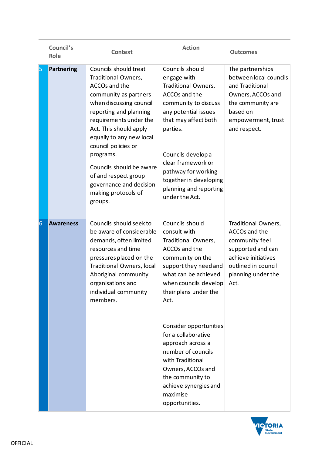|    | Council's<br>Role | <b>Context</b>                                                                                                                                                                                                                                                                                                                                                                    | <b>Action</b>                                                                                                                                                                                                                                                                                                                                                                                                          | <b>Outcomes</b>                                                                                                                                           |
|----|-------------------|-----------------------------------------------------------------------------------------------------------------------------------------------------------------------------------------------------------------------------------------------------------------------------------------------------------------------------------------------------------------------------------|------------------------------------------------------------------------------------------------------------------------------------------------------------------------------------------------------------------------------------------------------------------------------------------------------------------------------------------------------------------------------------------------------------------------|-----------------------------------------------------------------------------------------------------------------------------------------------------------|
| 15 | <b>Partnering</b> | Councils should treat<br>Traditional Owners,<br>ACCOs and the<br>community as partners<br>when discussing council<br>reporting and planning<br>requirements under the<br>Act. This should apply<br>equally to any new local<br>council policies or<br>programs.<br>Councils should be aware<br>of and respect group<br>governance and decision-<br>making protocols of<br>groups. | Councils should<br>engage with<br>Traditional Owners,<br>ACCOs and the<br>community to discuss<br>any potential issues<br>that may affect both<br>parties.<br>Councils develop a<br>clear framework or<br>pathway for working<br>together in developing<br>planning and reporting<br>under the Act.                                                                                                                    | The partnerships<br>between local councils<br>and Traditional<br>Owners, ACCOs and<br>the community are<br>based on<br>empowerment, trust<br>and respect. |
| 6  | <b>Awareness</b>  | Councils should seek to<br>be aware of considerable<br>demands, often limited<br>resources and time<br>pressures placed on the<br>Traditional Owners, local<br>Aboriginal community<br>organisations and<br>individual community<br>members.                                                                                                                                      | Councils should<br>consult with<br>Traditional Owners,<br>ACCOs and the<br>community on the<br>support they need and<br>what can be achieved<br>when councils develop<br>their plans under the<br>Act.<br>Consider opportunities<br>for a collaborative<br>approach across a<br>number of councils<br>with Traditional<br>Owners, ACCOs and<br>the community to<br>achieve synergies and<br>maximise<br>opportunities. | Traditional Owners,<br>ACCOs and the<br>community feel<br>supported and can<br>achieve initiatives<br>outlined in council<br>planning under the<br>Act.   |